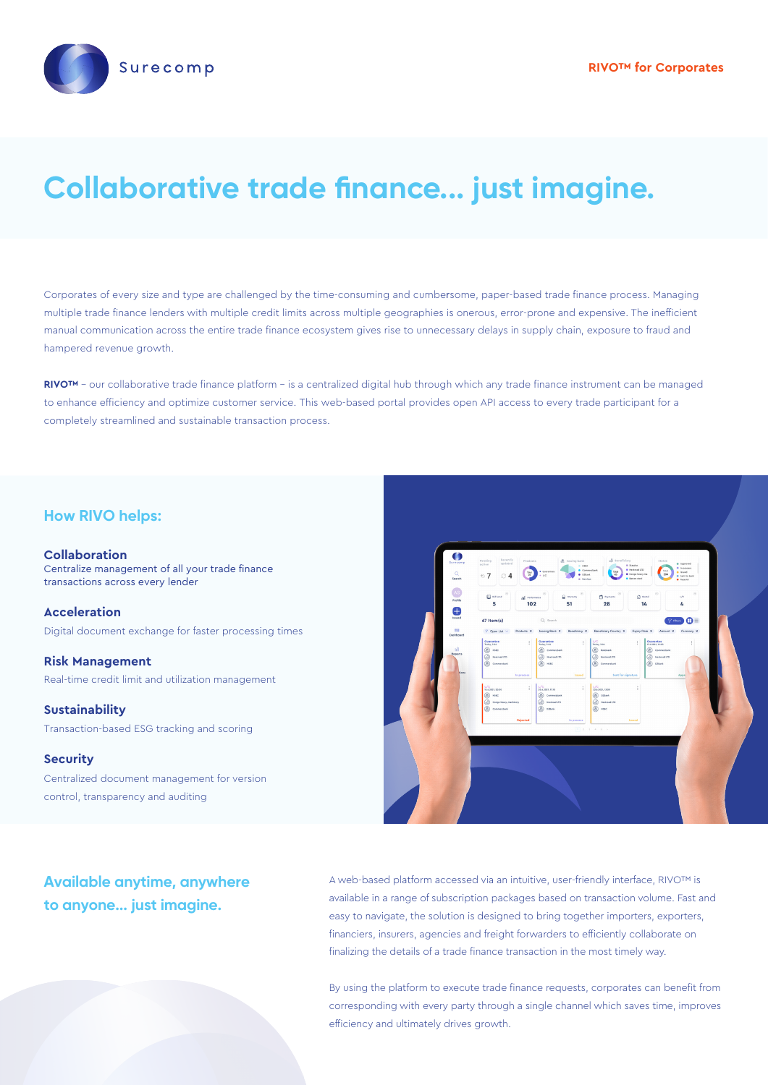

# **Collaborative trade finance... just imagine.**

Corporates of every size and type are challenged by the time-consuming and cumbersome, paper-based trade finance process. Managing multiple trade finance lenders with multiple credit limits across multiple geographies is onerous, error-prone and expensive. The inefficient manual communication across the entire trade finance ecosystem gives rise to unnecessary delays in supply chain, exposure to fraud and hampered revenue growth.

RIVO<sup>™</sup> - our collaborative trade finance platform - is a centralized digital hub through which any trade finance instrument can be managed to enhance efficiency and optimize customer service. This web-based portal provides open API access to every trade participant for a completely streamlined and sustainable transaction process.

#### **How RIVO helps:**

**Collaboration** Centralize management of all your trade finance transactions across every lender

**Acceleration** Digital document exchange for faster processing times

**Risk Management** Real-time credit limit and utilization management

**Sustainability** Transaction-based ESG tracking and scoring

#### **Security**

Centralized document management for version control, transparency and auditing



**Available anytime, anywhere to anyone... just imagine.**

A web-based platform accessed via an intuitive, user-friendly interface, RIVO™ is available in a range of subscription packages based on transaction volume. Fast and easy to navigate, the solution is designed to bring together importers, exporters, financiers, insurers, agencies and freight forwarders to efficiently collaborate on finalizing the details of a trade finance transaction in the most timely way.

By using the platform to execute trade finance requests, corporates can benefit from corresponding with every party through a single channel which saves time, improves efficiency and ultimately drives growth.